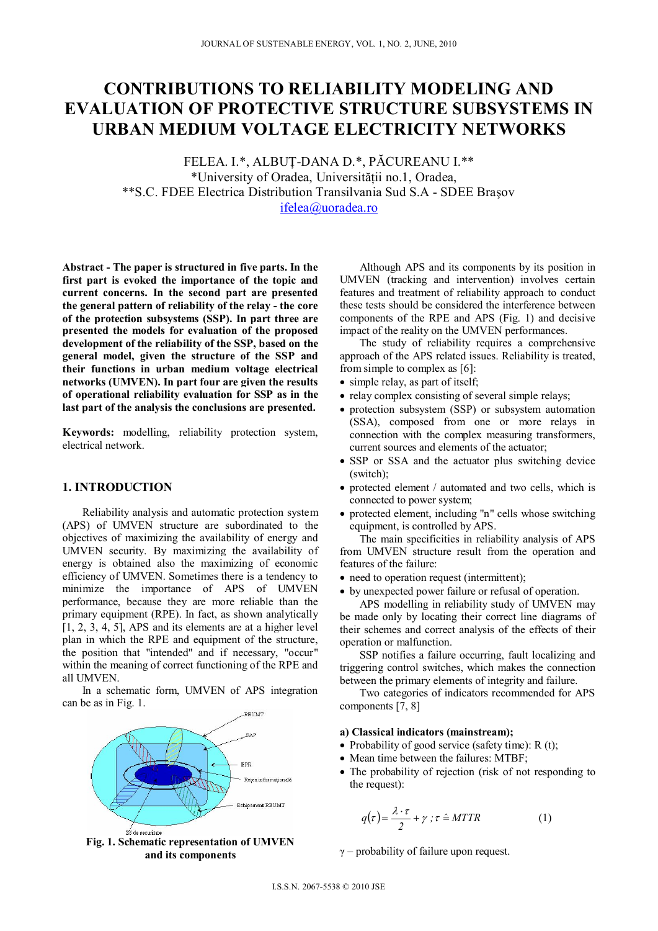# **CONTRIBUTIONS TO RELIABILITY MODELING AND EVALUATION OF PROTECTIVE STRUCTURE SUBSYSTEMS IN URBAN MEDIUM VOLTAGE ELECTRICITY NETWORKS**

FELEA. I.\*, ALBUŢ-DANA D.\*, PĂCUREANU I.\*\* \*University of Oradea, Universității no.1, Oradea, \*\*S.C. FDEE Electrica Distribution Transilvania Sud S.A - SDEE Braşov ifelea@uoradea.ro

**Abstract - The paper is structured in five parts. In the first part is evoked the importance of the topic and current concerns. In the second part are presented the general pattern of reliability of the relay - the core of the protection subsystems (SSP). In part three are presented the models for evaluation of the proposed development of the reliability of the SSP, based on the general model, given the structure of the SSP and their functions in urban medium voltage electrical networks (UMVEN). In part four are given the results of operational reliability evaluation for SSP as in the last part of the analysis the conclusions are presented.** 

**Keywords:** modelling, reliability protection system, electrical network.

# **1. INTRODUCTION**

Reliability analysis and automatic protection system (APS) of UMVEN structure are subordinated to the objectives of maximizing the availability of energy and UMVEN security. By maximizing the availability of energy is obtained also the maximizing of economic efficiency of UMVEN. Sometimes there is a tendency to minimize the importance of APS of UMVEN performance, because they are more reliable than the primary equipment (RPE). In fact, as shown analytically [1, 2, 3, 4, 5], APS and its elements are at a higher level plan in which the RPE and equipment of the structure, the position that "intended" and if necessary, "occur" within the meaning of correct functioning of the RPE and all UMVEN.

In a schematic form, UMVEN of APS integration can be as in Fig. 1.



**Fig. 1. Schematic representation of UMVEN and its components** 

Although APS and its components by its position in UMVEN (tracking and intervention) involves certain features and treatment of reliability approach to conduct these tests should be considered the interference between components of the RPE and APS (Fig. 1) and decisive impact of the reality on the UMVEN performances.

The study of reliability requires a comprehensive approach of the APS related issues. Reliability is treated, from simple to complex as [6]:

- simple relay, as part of itself;
- relay complex consisting of several simple relays;
- protection subsystem (SSP) or subsystem automation (SSA), composed from one or more relays in connection with the complex measuring transformers, current sources and elements of the actuator;
- SSP or SSA and the actuator plus switching device (switch);
- protected element / automated and two cells, which is connected to power system;
- protected element, including "n" cells whose switching equipment, is controlled by APS.

The main specificities in reliability analysis of APS from UMVEN structure result from the operation and features of the failure:

- need to operation request (intermittent);
- by unexpected power failure or refusal of operation.

APS modelling in reliability study of UMVEN may be made only by locating their correct line diagrams of their schemes and correct analysis of the effects of their operation or malfunction.

SSP notifies a failure occurring, fault localizing and triggering control switches, which makes the connection between the primary elements of integrity and failure.

Two categories of indicators recommended for APS components [7, 8]

#### **a) Classical indicators (mainstream);**

- Probability of good service (safety time):  $R(t)$ ;
- Mean time between the failures: MTBF;
- The probability of rejection (risk of not responding to the request):

$$
q(\tau) = \frac{\lambda \cdot \tau}{2} + \gamma \; ; \; \tau \stackrel{\sim}{=} MTTR \tag{1}
$$

 $\gamma$  – probability of failure upon request.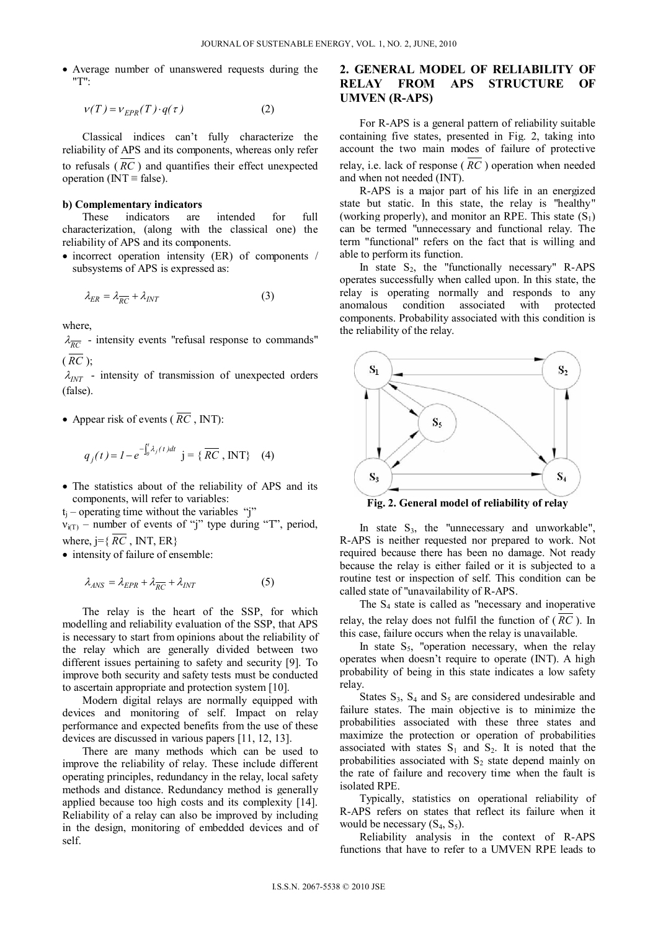Average number of unanswered requests during the "T":

$$
v(T) = v_{EPR}(T) \cdot q(\tau) \tag{2}
$$

Classical indices can't fully characterize the reliability of APS and its components, whereas only refer to refusals ( *RC* ) and quantifies their effect unexpected operation ( $INT \equiv false$ ).

#### **b) Complementary indicators**

These indicators are intended for full characterization, (along with the classical one) the reliability of APS and its components.

• incorrect operation intensity (ER) of components / subsystems of APS is expressed as:

$$
\lambda_{ER} = \lambda_{\overline{RC}} + \lambda_{INT} \tag{3}
$$

where,

 $\lambda_{\overline{RC}}$  - intensity events "refusal response to commands"  $(\overline{RC}$  ):

 $\lambda_{INT}$  - intensity of transmission of unexpected orders (false).

• Appear risk of events ( $\overline{RC}$ , INT):

$$
q_j(t) = I - e^{-\int_0^t \lambda_j(t)dt}
$$
 j = { $\overline{RC}$ , INT} (4)

 The statistics about of the reliability of APS and its components, will refer to variables:

 $t_i$  – operating time without the variables "j"

 $v_{i(T)}$  – number of events of "j" type during "T", period, where,  $j = \{ \overline{RC}$ , INT, ER $\}$ 

• intensity of failure of ensemble:

$$
\lambda_{ANS} = \lambda_{EPR} + \lambda_{\overline{RC}} + \lambda_{INT} \tag{5}
$$

The relay is the heart of the SSP, for which modelling and reliability evaluation of the SSP, that APS is necessary to start from opinions about the reliability of the relay which are generally divided between two different issues pertaining to safety and security [9]. To improve both security and safety tests must be conducted to ascertain appropriate and protection system [10].

Modern digital relays are normally equipped with devices and monitoring of self. Impact on relay performance and expected benefits from the use of these devices are discussed in various papers [11, 12, 13].

There are many methods which can be used to improve the reliability of relay. These include different operating principles, redundancy in the relay, local safety methods and distance. Redundancy method is generally applied because too high costs and its complexity [14]. Reliability of a relay can also be improved by including in the design, monitoring of embedded devices and of self.

# **2. GENERAL MODEL OF RELIABILITY OF RELAY FROM APS STRUCTURE OF UMVEN (R-APS)**

For R-APS is a general pattern of reliability suitable containing five states, presented in Fig. 2, taking into account the two main modes of failure of protective relay, i.e. lack of response ( *RC* ) operation when needed and when not needed (INT).

R-APS is a major part of his life in an energized state but static. In this state, the relay is "healthy" (working properly), and monitor an RPE. This state  $(S_1)$ can be termed "unnecessary and functional relay. The term "functional" refers on the fact that is willing and able to perform its function.

In state  $S_2$ , the "functionally necessary" R-APS operates successfully when called upon. In this state, the relay is operating normally and responds to any anomalous condition associated with protected components. Probability associated with this condition is the reliability of the relay.



**Fig. 2. General model of reliability of relay** 

In state  $S_3$ , the "unnecessary and unworkable", R-APS is neither requested nor prepared to work. Not required because there has been no damage. Not ready because the relay is either failed or it is subjected to a routine test or inspection of self. This condition can be called state of "unavailability of R-APS.

The  $S_4$  state is called as "necessary and inoperative relay, the relay does not fulfil the function of ( *RC* ). In this case, failure occurs when the relay is unavailable.

In state  $S_5$ , "operation necessary, when the relay operates when doesn't require to operate (INT). A high probability of being in this state indicates a low safety relay.

States  $S_3$ ,  $S_4$  and  $S_5$  are considered undesirable and failure states. The main objective is to minimize the probabilities associated with these three states and maximize the protection or operation of probabilities associated with states  $S_1$  and  $S_2$ . It is noted that the probabilities associated with  $S_2$  state depend mainly on the rate of failure and recovery time when the fault is isolated RPE.

Typically, statistics on operational reliability of R-APS refers on states that reflect its failure when it would be necessary  $(S_4, S_5)$ .

Reliability analysis in the context of R-APS functions that have to refer to a UMVEN RPE leads to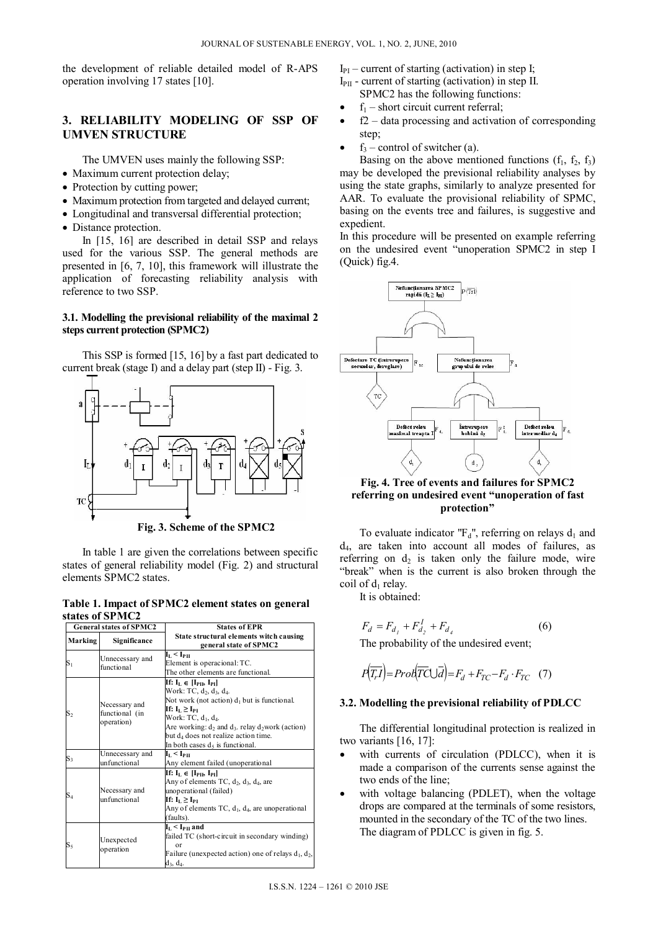the development of reliable detailed model of R-APS operation involving 17 states [10].

## **3. RELIABILITY MODELING OF SSP OF UMVEN STRUCTURE**

The UMVEN uses mainly the following SSP:

- Maximum current protection delay;
- Protection by cutting power;
- Maximum protection from targeted and delayed current:
- Longitudinal and transversal differential protection;
- Distance protection.

In [15, 16] are described in detail SSP and relays used for the various SSP. The general methods are presented in [6, 7, 10], this framework will illustrate the application of forecasting reliability analysis with reference to two SSP.

## **3.1. Modelling the previsional reliability of the maximal 2 steps current protection (SPMC2)**

This SSP is formed [15, 16] by a fast part dedicated to current break (stage I) and a delay part (step II) - Fig. 3.



**Fig. 3. Scheme of the SPMC2** 

In table 1 are given the correlations between specific states of general reliability model (Fig. 2) and structural elements SPMC2 states.

**Table 1. Impact of SPMC2 element states on general states of SPMC2** 

| <b>General states of SPMC2</b> |                                               | <b>States of EPR</b>                                                                                                                                                                                                                                                                                                                                                                           |  |  |  |
|--------------------------------|-----------------------------------------------|------------------------------------------------------------------------------------------------------------------------------------------------------------------------------------------------------------------------------------------------------------------------------------------------------------------------------------------------------------------------------------------------|--|--|--|
| Marking                        | Significance                                  | State structural elements witch causing<br>general state of SPMC2                                                                                                                                                                                                                                                                                                                              |  |  |  |
| $S_1$                          | Unnecessary and<br>functional                 | $\mathbf{I}_\text{L}$ < $\mathbf{I}_\text{PII}$<br>Element is operacional: TC.<br>The other elements are functional.                                                                                                                                                                                                                                                                           |  |  |  |
| $S_2$                          | Necessary and<br>functional (in<br>operation) | If: $I_L \in [I_{\text{PI}}, I_{\text{PI}}]$<br>Work: TC, d <sub>2</sub> , d <sub>3</sub> , d <sub>4</sub> .<br>Not work (not action) $d_1$ but is functional.<br>If: $I_{L} \geq I_{PI}$<br>Work: TC, d <sub>1</sub> , d <sub>4</sub> .<br>Are working: $d_2$ and $d_3$ . relay $d_2$ work (action)<br>but d <sub>4</sub> does not realize action time.<br>In both cases $d_5$ is functional. |  |  |  |
| $S_3$                          | Unnecessary and<br>unfunctional               | $\mathbf{I}_\text{L}$ < $\mathbf{I}_\text{PII}$<br>Any element failed (unoperational                                                                                                                                                                                                                                                                                                           |  |  |  |
| $S_4$                          | Necessary and<br>unfunctional                 | If: $I_L \in [I_{\text{PI}}, I_{\text{PI}}]$<br>Any of elements TC, $d_2$ , $d_3$ , $d_4$ , are<br>unoperational (failed)<br>If: $I_L \geq I_{PL}$<br>Any of elements TC, $d_1$ , $d_4$ , are unoperational<br>(faults).                                                                                                                                                                       |  |  |  |
| $\mathrm{S}_5$                 | Unexpected<br>operation                       | $I_L < I_{\rm PH}$ and<br>failed TC (short-circuit in secondary winding)<br>$\alpha$ r<br>Failure (unexpected action) one of relays $d_1$ , $d_2$ ,<br>d <sub>3</sub> , d <sub>4</sub> .                                                                                                                                                                                                       |  |  |  |

 $I_{PI}$  – current of starting (activation) in step I;  $I_{\text{PI}}$  - current of starting (activation) in step II.

- SPMC2 has the following functions:
- $f_1$  short circuit current referral;
- f2 data processing and activation of corresponding step;
- $f_3$  control of switcher (a).

Basing on the above mentioned functions  $(f_1, f_2, f_3)$ may be developed the previsional reliability analyses by using the state graphs, similarly to analyze presented for AAR. To evaluate the provisional reliability of SPMC, basing on the events tree and failures, is suggestive and expedient.

In this procedure will be presented on example referring on the undesired event "unoperation SPMC2 in step I (Quick) fig.4.



**Fig. 4. Tree of events and failures for SPMC2 referring on undesired event "unoperation of fast protection"** 

To evaluate indicator " $F_d$ ", referring on relays  $d_1$  and  $d_4$ , are taken into account all modes of failures, as referring on  $d_2$  is taken only the failure mode, wire "break" when is the current is also broken through the coil of  $d_1$  relay.

It is obtained:

$$
F_d = F_{d_1} + F_{d_2}^I + F_{d_4}
$$
 (6)

The probability of the undesired event;

$$
P(\overline{T_rI}) = Prob(\overline{TC} \cup \overline{d}) = F_d + F_{TC} - F_d \cdot F_{TC} \quad (7)
$$

### **3.2. Modelling the previsional reliability of PDLCC**

The differential longitudinal protection is realized in two variants [16, 17]:

- with currents of circulation (PDLCC), when it is made a comparison of the currents sense against the two ends of the line;
- with voltage balancing (PDLET), when the voltage drops are compared at the terminals of some resistors, mounted in the secondary of the TC of the two lines. The diagram of PDLCC is given in fig. 5.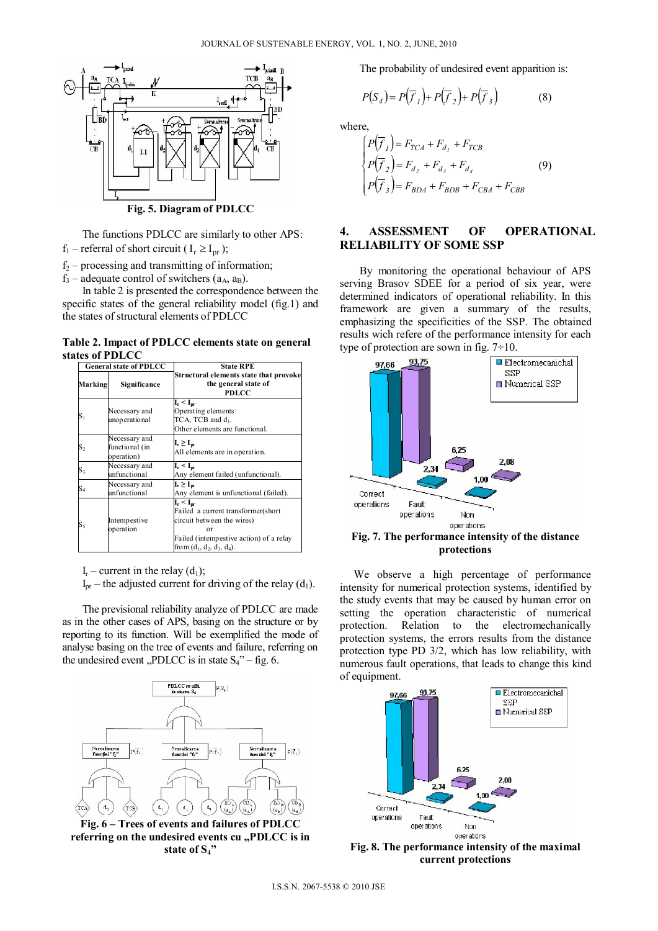

The functions PDLCC are similarly to other APS:  $f_1$  – referral of short circuit (  $I_r \geq I_{pr}$  );

 $f_2$  – processing and transmitting of information;

 $f_3$  – adequate control of switchers ( $a_A$ ,  $a_B$ ).

In table 2 is presented the correspondence between the specific states of the general reliability model (fig.1) and the states of structural elements of PDLCC

#### **Table 2. Impact of PDLCC elements state on general states of PDLCC**

| <b>General state of PDLCC</b> |                                               | <b>State RPE</b>                                                                                                                                                     |  |  |  |
|-------------------------------|-----------------------------------------------|----------------------------------------------------------------------------------------------------------------------------------------------------------------------|--|--|--|
| Marking                       | Significance                                  | Structural elements state that provoke<br>the general state of<br><b>PDLCC</b>                                                                                       |  |  |  |
| $\mathrm{S}_1$                | Necessary and<br>unoperational                | $I_r < I_{pr}$<br>Operating elements:<br>TCA, TCB and d <sub>1</sub> .<br>Other elements are functional.                                                             |  |  |  |
| $\mathbf{S}_2$                | Necessary and<br>functional (in<br>operation) | $I_r \geq I_{pr}$<br>All elements are in operation.                                                                                                                  |  |  |  |
| $\mathrm{S}_3$                | Necessary and<br>unfunctional                 | $I_r < I_{pr}$<br>Any element failed (unfunctional).                                                                                                                 |  |  |  |
| S4                            | Necessary and<br>unfunctional                 | $I_r \geq I_{pr}$<br>Any element is unfunctional (failed).                                                                                                           |  |  |  |
| $\mathrm{S}_5$                | Intempestive<br>operation                     | $I_r < I_{nr}$<br>Failed a current transformer(short<br>circuit between the wires)<br>or<br>Failed (intempestive action) of a relay<br>from $(d_1, d_2, d_3, d_4)$ . |  |  |  |

 $I_r$  – current in the relay (d<sub>1</sub>);

 $I_{\text{pr}}$  – the adjusted current for driving of the relay (d<sub>1</sub>).

The previsional reliability analyze of PDLCC are made as in the other cases of APS, basing on the structure or by reporting to its function. Will be exemplified the mode of analyse basing on the tree of events and failure, referring on the undesired event "PDLCC is in state  $S_4$ " – fig. 6.



**Fig. 6 – Trees of events and failures of PDLCC**  referring on the undesired events cu "PDLCC is in **state of S4"** 

The probability of undesired event apparition is:

$$
P(S_4) = P(\overline{f}_1) + P(\overline{f}_2) + P(\overline{f}_3)
$$
 (8)

where,

$$
\begin{cases}\nP(\overline{f}_1) = F_{TCA} + F_{d_1} + F_{TCB} \\
P(\overline{f}_2) = F_{d_2} + F_{d_3} + F_{d_4} \\
P(\overline{f}_3) = F_{BDA} + F_{BDB} + F_{CBA} + F_{CBB}\n\end{cases} \tag{9}
$$

## **4. ASSESSMENT OF OPERATIONAL RELIABILITY OF SOME SSP**

By monitoring the operational behaviour of APS serving Brasov SDEE for a period of six year, were determined indicators of operational reliability. In this framework are given a summary of the results, emphasizing the specificities of the SSP. The obtained results wich refere of the performance intensity for each type of protection are sown in fig.  $7\div 10$ .



**protections** 

 We observe a high percentage of performance intensity for numerical protection systems, identified by the study events that may be caused by human error on setting the operation characteristic of numerical protection. Relation to the electromechanically protection systems, the errors results from the distance protection type PD 3/2, which has low reliability, with numerous fault operations, that leads to change this kind of equipment.



**Fig. 8. The performance intensity of the maximal current protections**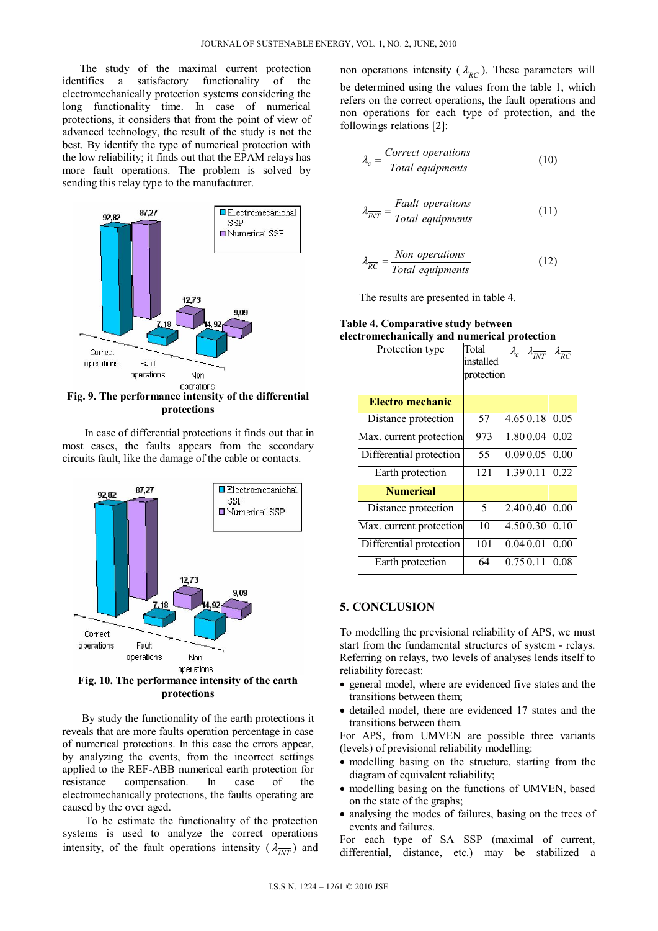The study of the maximal current protection identifies a satisfactory functionality of the electromechanically protection systems considering the long functionality time. In case of numerical protections, it considers that from the point of view of advanced technology, the result of the study is not the best. By identify the type of numerical protection with the low reliability; it finds out that the EPAM relays has more fault operations. The problem is solved by sending this relay type to the manufacturer.



**Fig. 9. The performance intensity of the differential protections** 

 In case of differential protections it finds out that in most cases, the faults appears from the secondary circuits fault, like the damage of the cable or contacts.



 By study the functionality of the earth protections it reveals that are more faults operation percentage in case of numerical protections. In this case the errors appear, by analyzing the events, from the incorrect settings applied to the REF-ABB numerical earth protection for resistance compensation. In case of the electromechanically protections, the faults operating are caused by the over aged.

 To be estimate the functionality of the protection systems is used to analyze the correct operations intensity, of the fault operations intensity ( $\lambda_{\overline{INT}}$ ) and non operations intensity ( $\lambda_{\overline{RC}}$ ). These parameters will be determined using the values from the table 1, which refers on the correct operations, the fault operations and non operations for each type of protection, and the followings relations [2]:

$$
\lambda_c = \frac{Correct\ operations}{Total\ equipments} \tag{10}
$$

$$
\lambda_{\overline{INT}} = \frac{Fault\,\,operations}{Total\,\,equipments} \tag{11}
$$

$$
\lambda_{\overline{RC}} = \frac{Non\ operations}{Total\ equivalents} \tag{12}
$$

The results are presented in table 4.

**Table 4. Comparative study between electromechanically and numerical protection** 

| Protection type         | Total<br>installed<br>protection | $\lambda_c$ | $\lambda_{\overline{INT}}$ | $\lambda_{\overline{RC}}$ |
|-------------------------|----------------------------------|-------------|----------------------------|---------------------------|
|                         |                                  |             |                            |                           |
| Electro mechanic        |                                  |             |                            |                           |
| Distance protection     | 57                               |             | $4.65 \, 0.18$             | 0.05                      |
| Max. current protection | 973                              |             | 1.800.04                   | 0.02                      |
| Differential protection | 55                               |             | 0.09 0.05                  | 0.00                      |
| Earth protection        | 121                              |             | 1.39 0.11                  | 0.22                      |
| <b>Numerical</b>        |                                  |             |                            |                           |
| Distance protection     | 5                                |             | 2.40 0.40                  | 0.00                      |
| Max. current protection | 10                               |             | 4.50 0.30                  | 0.10                      |
| Differential protection | 101                              | 0.04 0.01   |                            | 0.00                      |
| Earth protection        | 64                               | 0.75 0.11   |                            | 0.08                      |

### **5. CONCLUSION**

To modelling the previsional reliability of APS, we must start from the fundamental structures of system - relays. Referring on relays, two levels of analyses lends itself to reliability forecast:

- general model, where are evidenced five states and the transitions between them;
- detailed model, there are evidenced 17 states and the transitions between them.

For APS, from UMVEN are possible three variants (levels) of previsional reliability modelling:

- modelling basing on the structure, starting from the diagram of equivalent reliability;
- modelling basing on the functions of UMVEN, based on the state of the graphs;
- analysing the modes of failures, basing on the trees of events and failures.

For each type of SA SSP (maximal of current, differential, distance, etc.) may be stabilized a